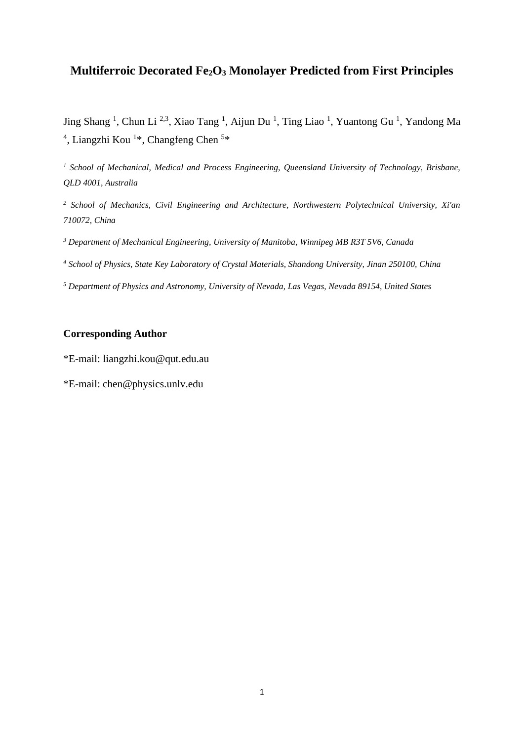# **Multiferroic Decorated Fe2O<sup>3</sup> Monolayer Predicted from First Principles**

Jing Shang<sup>1</sup>, Chun Li<sup>2,3</sup>, Xiao Tang<sup>1</sup>, Aijun Du<sup>1</sup>, Ting Liao<sup>1</sup>, Yuantong Gu<sup>1</sup>, Yandong Ma <sup>4</sup>, Liangzhi Kou<sup>1\*</sup>, Changfeng Chen<sup>5\*</sup>

*<sup>1</sup> School of Mechanical, Medical and Process Engineering, Queensland University of Technology, Brisbane, QLD 4001, Australia*

*<sup>2</sup> School of Mechanics, Civil Engineering and Architecture, Northwestern Polytechnical University, Xi'an 710072, China*

*<sup>3</sup> Department of Mechanical Engineering, University of Manitoba, Winnipeg MB R3T 5V6, Canada*

*<sup>4</sup> School of Physics, State Key Laboratory of Crystal Materials, Shandong University, Jinan 250100, China*

*<sup>5</sup> Department of Physics and Astronomy, University of Nevada, Las Vegas, Nevada 89154, United States*

# **Corresponding Author**

\*E-mail: liangzhi.kou@qut.edu.au

\*E-mail: chen@physics.unlv.edu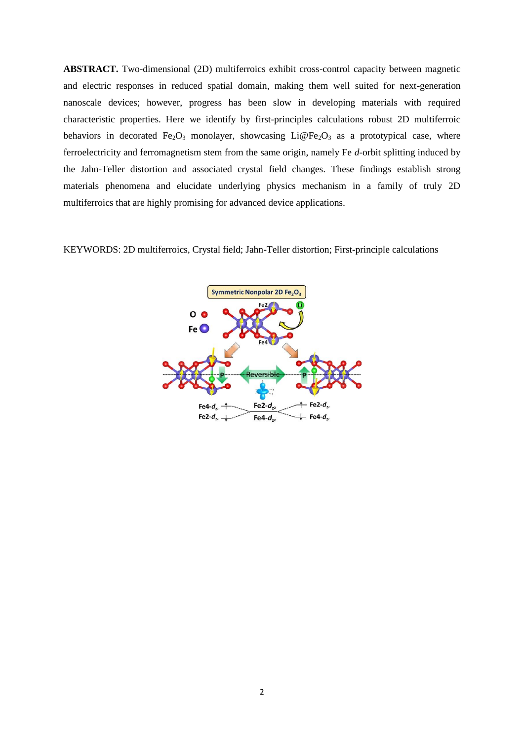**ABSTRACT.** Two-dimensional (2D) multiferroics exhibit cross-control capacity between magnetic and electric responses in reduced spatial domain, making them well suited for next-generation nanoscale devices; however, progress has been slow in developing materials with required characteristic properties. Here we identify by first-principles calculations robust 2D multiferroic behaviors in decorated Fe<sub>2</sub>O<sub>3</sub> monolayer, showcasing Li@Fe<sub>2</sub>O<sub>3</sub> as a prototypical case, where ferroelectricity and ferromagnetism stem from the same origin, namely Fe *d*-orbit splitting induced by the Jahn-Teller distortion and associated crystal field changes. These findings establish strong materials phenomena and elucidate underlying physics mechanism in a family of truly 2D multiferroics that are highly promising for advanced device applications.

KEYWORDS: 2D multiferroics, Crystal field; Jahn-Teller distortion; First-principle calculations

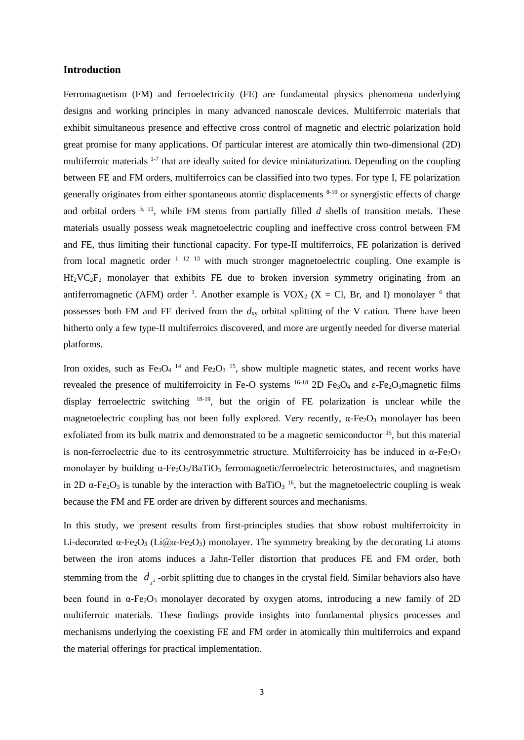### **Introduction**

Ferromagnetism (FM) and ferroelectricity (FE) are fundamental physics phenomena underlying designs and working principles in many advanced nanoscale devices. Multiferroic materials that exhibit simultaneous presence and effective cross control of magnetic and electric polarization hold great promise for many applications. Of particular interest are atomically thin two-dimensional (2D) multiferroic materials <sup>1-7</sup> that are ideally suited for device miniaturization. Depending on the coupling between FE and FM orders, multiferroics can be classified into two types. For type I, FE polarization generally originates from either spontaneous atomic displacements 8-10 or synergistic effects of charge and orbital orders  $5, 11$ , while FM stems from partially filled *d* shells of transition metals. These materials usually possess weak magnetoelectric coupling and ineffective cross control between FM and FE, thus limiting their functional capacity. For type-II multiferroics, FE polarization is derived from local magnetic order  $1^{12}$  13 with much stronger magnetoelectric coupling. One example is  $Hf_2VC_2F_2$  monolayer that exhibits FE due to broken inversion symmetry originating from an antiferromagnetic (AFM) order <sup>1</sup>. Another example is  $VOX_2$  (X = Cl, Br, and I) monolayer <sup>6</sup> that possesses both FM and FE derived from the  $d_{xy}$  orbital splitting of the V cation. There have been hitherto only a few type-II multiferroics discovered, and more are urgently needed for diverse material platforms.

Iron oxides, such as  $Fe<sub>3</sub>O<sub>4</sub>$ <sup>14</sup> and  $Fe<sub>2</sub>O<sub>3</sub>$ <sup>15</sup>, show multiple magnetic states, and recent works have revealed the presence of multiferroicity in Fe-O systems  $^{16-18}$  2D Fe<sub>3</sub>O<sub>4</sub> and  $\varepsilon$ -Fe<sub>2</sub>O<sub>3</sub>magnetic films display ferroelectric switching <sup>18-19</sup>, but the origin of FE polarization is unclear while the magnetoelectric coupling has not been fully explored. Very recently,  $\alpha$ -Fe<sub>2</sub>O<sub>3</sub> monolayer has been exfoliated from its bulk matrix and demonstrated to be a magnetic semiconductor <sup>15</sup>, but this material is non-ferroelectric due to its centrosymmetric structure. Multiferroicity has be induced in  $\alpha$ -Fe<sub>2</sub>O<sub>3</sub> monolayer by building  $\alpha$ -Fe<sub>2</sub>O<sub>3</sub>/BaTiO<sub>3</sub> ferromagnetic/ferroelectric heterostructures, and magnetism in 2D  $\alpha$ -Fe<sub>2</sub>O<sub>3</sub> is tunable by the interaction with BaTiO<sub>3</sub><sup>16</sup>, but the magnetoelectric coupling is weak because the FM and FE order are driven by different sources and mechanisms.

In this study, we present results from first-principles studies that show robust multiferroicity in Li-decorated  $\alpha$ -Fe<sub>2</sub>O<sub>3</sub> (Li $\omega$  $\alpha$ -Fe<sub>2</sub>O<sub>3</sub>) monolayer. The symmetry breaking by the decorating Li atoms between the iron atoms induces a Jahn-Teller distortion that produces FE and FM order, both stemming from the  $d_{z^2}$ -orbit splitting due to changes in the crystal field. Similar behaviors also have been found in  $\alpha$ -Fe<sub>2</sub>O<sub>3</sub> monolayer decorated by oxygen atoms, introducing a new family of 2D multiferroic materials. These findings provide insights into fundamental physics processes and mechanisms underlying the coexisting FE and FM order in atomically thin multiferroics and expand the material offerings for practical implementation.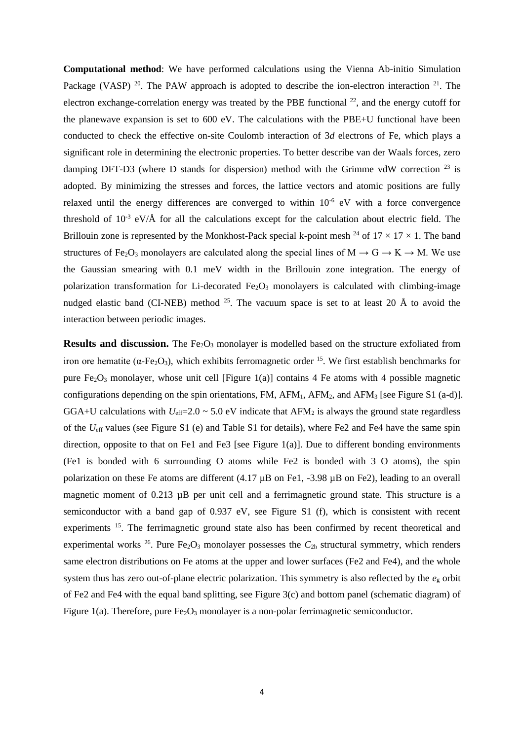**Computational method**: We have performed calculations using the Vienna Ab-initio Simulation Package (VASP)<sup>20</sup>. The PAW approach is adopted to describe the ion-electron interaction<sup>21</sup>. The electron exchange-correlation energy was treated by the PBE functional  $^{22}$ , and the energy cutoff for the planewave expansion is set to 600 eV. The calculations with the PBE+U functional have been conducted to check the effective on-site Coulomb interaction of 3*d* electrons of Fe, which plays a significant role in determining the electronic properties. To better describe van der Waals forces, zero damping DFT-D3 (where D stands for dispersion) method with the Grimme vdW correction  $^{23}$  is adopted. By minimizing the stresses and forces, the lattice vectors and atomic positions are fully relaxed until the energy differences are converged to within  $10^{-6}$  eV with a force convergence threshold of  $10^{-3}$  eV/Å for all the calculations except for the calculation about electric field. The Brillouin zone is represented by the Monkhost-Pack special k-point mesh <sup>24</sup> of  $17 \times 17 \times 1$ . The band structures of Fe<sub>2</sub>O<sub>3</sub> monolayers are calculated along the special lines of  $M \rightarrow G \rightarrow K \rightarrow M$ . We use the Gaussian smearing with 0.1 meV width in the Brillouin zone integration. The energy of polarization transformation for Li-decorated  $Fe<sub>2</sub>O<sub>3</sub>$  monolayers is calculated with climbing-image nudged elastic band (CI-NEB) method  $^{25}$ . The vacuum space is set to at least 20 Å to avoid the interaction between periodic images.

**Results and discussion.** The Fe<sub>2</sub>O<sub>3</sub> monolayer is modelled based on the structure exfoliated from iron ore hematite ( $\alpha$ -Fe<sub>2</sub>O<sub>3</sub>), which exhibits ferromagnetic order <sup>15</sup>. We first establish benchmarks for pure Fe<sub>2</sub>O<sub>3</sub> monolayer, whose unit cell [Figure 1(a)] contains 4 Fe atoms with 4 possible magnetic configurations depending on the spin orientations, FM,  $AFM_1$ ,  $AFM_2$ , and  $AFM_3$  [see Figure S1 (a-d)]. GGA+U calculations with  $U_{\text{eff}}$ =2.0 ~ 5.0 eV indicate that AFM<sub>2</sub> is always the ground state regardless of the *U*eff values (see Figure S1 (e) and Table S1 for details), where Fe2 and Fe4 have the same spin direction, opposite to that on Fe1 and Fe3 [see Figure 1(a)]. Due to different bonding environments (Fe1 is bonded with 6 surrounding O atoms while Fe2 is bonded with 3 O atoms), the spin polarization on these Fe atoms are different (4.17  $\mu$ B on Fe1, -3.98  $\mu$ B on Fe2), leading to an overall magnetic moment of 0.213  $\mu$ B per unit cell and a ferrimagnetic ground state. This structure is a semiconductor with a band gap of 0.937 eV, see Figure S1 (f), which is consistent with recent experiments <sup>15</sup>. The ferrimagnetic ground state also has been confirmed by recent theoretical and experimental works <sup>26</sup>. Pure Fe<sub>2</sub>O<sub>3</sub> monolayer possesses the  $C_{2h}$  structural symmetry, which renders same electron distributions on Fe atoms at the upper and lower surfaces (Fe2 and Fe4), and the whole system thus has zero out-of-plane electric polarization. This symmetry is also reflected by the *e*<sup>g</sup> orbit of Fe2 and Fe4 with the equal band splitting, see Figure 3(c) and bottom panel (schematic diagram) of Figure 1(a). Therefore, pure  $Fe<sub>2</sub>O<sub>3</sub>$  monolayer is a non-polar ferrimagnetic semiconductor.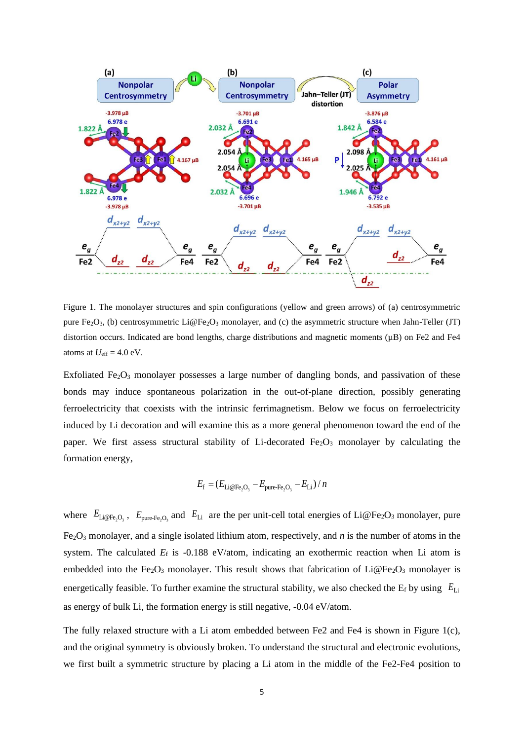

Figure 1. The monolayer structures and spin configurations (yellow and green arrows) of (a) centrosymmetric pure Fe<sub>2</sub>O<sub>3</sub>, (b) centrosymmetric Li@Fe<sub>2</sub>O<sub>3</sub> monolayer, and (c) the asymmetric structure when Jahn-Teller (JT) distortion occurs. Indicated are bond lengths, charge distributions and magnetic moments  $(\mu B)$  on Fe2 and Fe4 atoms at  $U_{\text{eff}} = 4.0 \text{ eV}$ .

Exfoliated Fe<sub>2</sub>O<sub>3</sub> monolayer possesses a large number of dangling bonds, and passivation of these bonds may induce spontaneous polarization in the out-of-plane direction, possibly generating ferroelectricity that coexists with the intrinsic ferrimagnetism. Below we focus on ferroelectricity induced by Li decoration and will examine this as a more general phenomenon toward the end of the paper. We first assess structural stability of Li-decorated Fe<sub>2</sub>O<sub>3</sub> monolayer by calculating the formation energy,

$$
E_{\rm f} = (E_{\rm Li@Fe2O3} - E_{\rm pure-Fe2O3} - E_{\rm Li})/n
$$

where  $E_{\text{Li@Fe}_2\text{O}_3}$ ,  $E_{\text{pure-Fe}_2\text{O}_3}$  and  $E_{\text{Li}}$  are the per unit-cell total energies of Li@Fe<sub>2</sub>O<sub>3</sub> monolayer, pure  $Fe<sub>2</sub>O<sub>3</sub>$  monolayer, and a single isolated lithium atom, respectively, and *n* is the number of atoms in the system. The calculated  $E_f$  is  $-0.188$  eV/atom, indicating an exothermic reaction when Li atom is embedded into the Fe<sub>2</sub>O<sub>3</sub> monolayer. This result shows that fabrication of Li@Fe<sub>2</sub>O<sub>3</sub> monolayer is energetically feasible. To further examine the structural stability, we also checked the E<sub>f</sub> by using  $E_{Li}$ as energy of bulk Li, the formation energy is still negative, -0.04 eV/atom.

The fully relaxed structure with a Li atom embedded between Fe2 and Fe4 is shown in Figure 1(c), and the original symmetry is obviously broken. To understand the structural and electronic evolutions, we first built a symmetric structure by placing a Li atom in the middle of the Fe2-Fe4 position to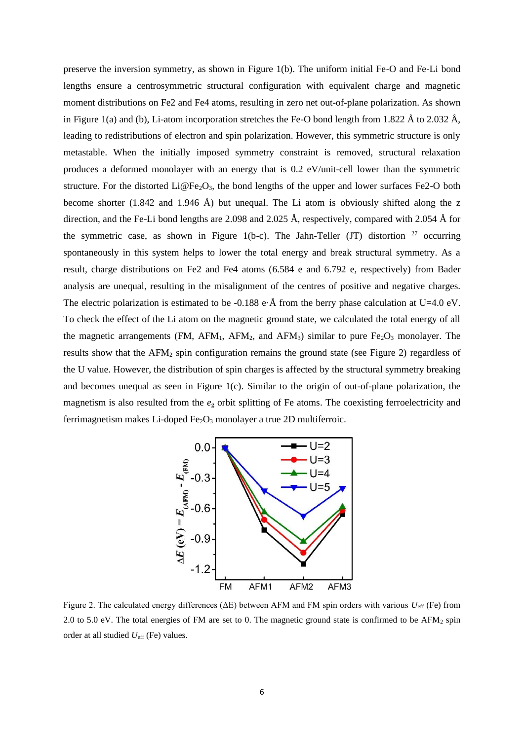preserve the inversion symmetry, as shown in Figure 1(b). The uniform initial Fe-O and Fe-Li bond lengths ensure a centrosymmetric structural configuration with equivalent charge and magnetic moment distributions on Fe2 and Fe4 atoms, resulting in zero net out-of-plane polarization. As shown in Figure 1(a) and (b), Li-atom incorporation stretches the Fe-O bond length from 1.822 Å to 2.032 Å, leading to redistributions of electron and spin polarization. However, this symmetric structure is only metastable. When the initially imposed symmetry constraint is removed, structural relaxation produces a deformed monolayer with an energy that is 0.2 eV/unit-cell lower than the symmetric structure. For the distorted  $Li@Fe<sub>2</sub>O<sub>3</sub>$ , the bond lengths of the upper and lower surfaces Fe2-O both become shorter (1.842 and 1.946 Å) but unequal. The Li atom is obviously shifted along the z direction, and the Fe-Li bond lengths are 2.098 and 2.025 Å, respectively, compared with 2.054 Å for the symmetric case, as shown in Figure 1(b-c). The Jahn-Teller (JT) distortion  $27$  occurring spontaneously in this system helps to lower the total energy and break structural symmetry. As a result, charge distributions on Fe2 and Fe4 atoms (6.584 e and 6.792 e, respectively) from Bader analysis are unequal, resulting in the misalignment of the centres of positive and negative charges. The electric polarization is estimated to be -0.188 e $\cdot$ Å from the berry phase calculation at U=4.0 eV. To check the effect of the Li atom on the magnetic ground state, we calculated the total energy of all the magnetic arrangements (FM, AFM<sub>1</sub>, AFM<sub>2</sub>, and AFM<sub>3</sub>) similar to pure Fe<sub>2</sub>O<sub>3</sub> monolayer. The results show that the AFM<sup>2</sup> spin configuration remains the ground state (see Figure 2) regardless of the U value. However, the distribution of spin charges is affected by the structural symmetry breaking and becomes unequal as seen in Figure 1(c). Similar to the origin of out-of-plane polarization, the magnetism is also resulted from the *e*<sup>g</sup> orbit splitting of Fe atoms. The coexisting ferroelectricity and ferrimagnetism makes Li-doped Fe<sub>2</sub>O<sub>3</sub> monolayer a true 2D multiferroic.



Figure 2. The calculated energy differences (ΔE) between AFM and FM spin orders with various *U*eff (Fe) from 2.0 to 5.0 eV. The total energies of FM are set to 0. The magnetic ground state is confirmed to be AFM<sub>2</sub> spin order at all studied *U*eff (Fe) values.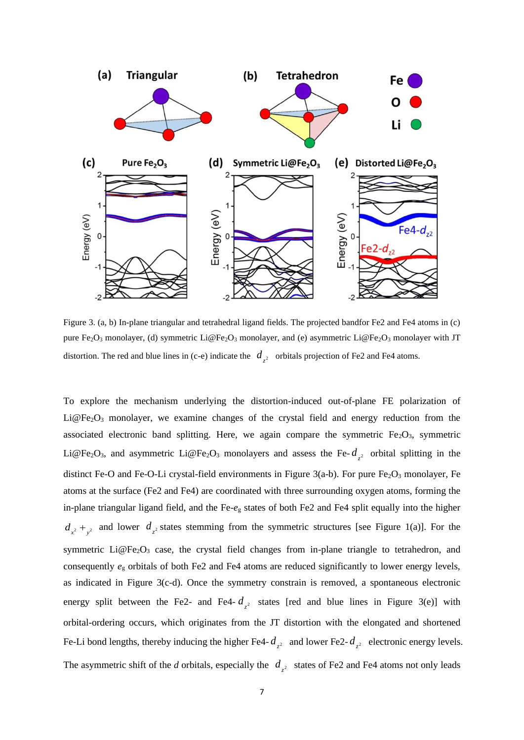

Figure 3. (a, b) In-plane triangular and tetrahedral ligand fields. The projected bandfor Fe2 and Fe4 atoms in (c) pure Fe<sub>2</sub>O<sub>3</sub> monolayer, (d) symmetric Li@Fe<sub>2</sub>O<sub>3</sub> monolayer, and (e) asymmetric Li@Fe<sub>2</sub>O<sub>3</sub> monolayer with JT distortion. The red and blue lines in (c-e) indicate the  $d_{z^2}$  orbitals projection of Fe2 and Fe4 atoms.

To explore the mechanism underlying the distortion-induced out-of-plane FE polarization of  $Li@Fe<sub>2</sub>O<sub>3</sub>$  monolayer, we examine changes of the crystal field and energy reduction from the associated electronic band splitting. Here, we again compare the symmetric  $Fe<sub>2</sub>O<sub>3</sub>$ , symmetric Li@Fe<sub>2</sub>O<sub>3</sub>, and asymmetric Li@Fe<sub>2</sub>O<sub>3</sub> monolayers and assess the Fe- $d_{z^2}$  orbital splitting in the distinct Fe-O and Fe-O-Li crystal-field environments in Figure 3(a-b). For pure  $Fe<sub>2</sub>O<sub>3</sub>$  monolayer, Fe atoms at the surface (Fe2 and Fe4) are coordinated with three surrounding oxygen atoms, forming the in-plane triangular ligand field, and the Fe-*e*<sup>g</sup> states of both Fe2 and Fe4 split equally into the higher  $d_{x^2} + d_{y^2}$  and lower  $d_{z^2}$  states stemming from the symmetric structures [see Figure 1(a)]. For the symmetric Li@Fe<sub>2</sub>O<sub>3</sub> case, the crystal field changes from in-plane triangle to tetrahedron, and consequently *e*<sup>g</sup> orbitals of both Fe2 and Fe4 atoms are reduced significantly to lower energy levels, as indicated in Figure 3(c-d). Once the symmetry constrain is removed, a spontaneous electronic energy split between the Fe2- and Fe4-  $d_{z^2}$  states [red and blue lines in Figure 3(e)] with orbital-ordering occurs, which originates from the JT distortion with the elongated and shortened Fe-Li bond lengths, thereby inducing the higher Fe4- $d_{z^2}$  and lower Fe2- $d_{z^2}$  electronic energy levels. The asymmetric shift of the *d* orbitals, especially the  $d_{z^2}$  states of Fe2 and Fe4 atoms not only leads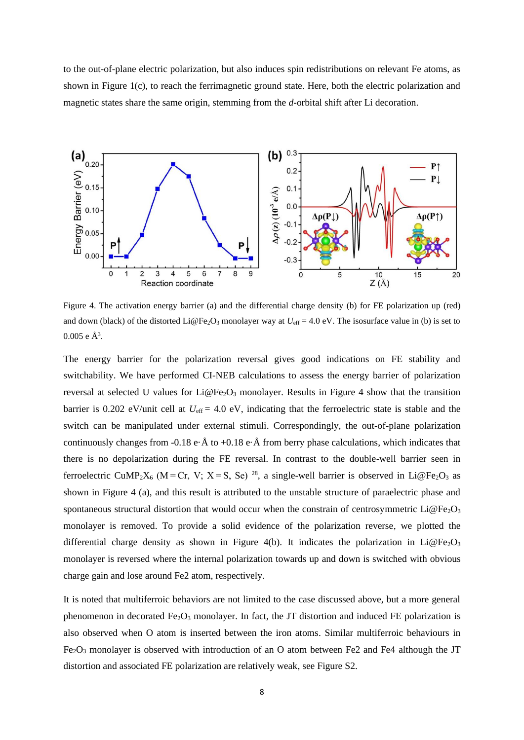to the out-of-plane electric polarization, but also induces spin redistributions on relevant Fe atoms, as shown in Figure 1(c), to reach the ferrimagnetic ground state. Here, both the electric polarization and magnetic states share the same origin, stemming from the *d-*orbital shift after Li decoration.



Figure 4. The activation energy barrier (a) and the differential charge density (b) for FE polarization up (red) and down (black) of the distorted Li@Fe<sub>2</sub>O<sub>3</sub> monolayer way at  $U_{\text{eff}} = 4.0 \text{ eV}$ . The isosurface value in (b) is set to  $0.005$  e  $\AA^3$ .

The energy barrier for the polarization reversal gives good indications on FE stability and switchability. We have performed CI-NEB calculations to assess the energy barrier of polarization reversal at selected U values for  $Li@Fe<sub>2</sub>O<sub>3</sub>$  monolayer. Results in Figure 4 show that the transition barrier is 0.202 eV/unit cell at  $U_{\text{eff}}$  = 4.0 eV, indicating that the ferroelectric state is stable and the switch can be manipulated under external stimuli. Correspondingly, the out-of-plane polarization continuously changes from -0.18 e· $\AA$  to +0.18 e· $\AA$  from berry phase calculations, which indicates that there is no depolarization during the FE reversal. In contrast to the double-well barrier seen in ferroelectric CuMP<sub>2</sub>X<sub>6</sub> (M = Cr, V; X = S, Se)<sup>28</sup>, a single-well barrier is observed in Li@Fe<sub>2</sub>O<sub>3</sub> as shown in Figure 4 (a), and this result is attributed to the unstable structure of paraelectric phase and spontaneous structural distortion that would occur when the constrain of centrosymmetric  $Li@Fe<sub>2</sub>O<sub>3</sub>$ monolayer is removed. To provide a solid evidence of the polarization reverse, we plotted the differential charge density as shown in Figure 4(b). It indicates the polarization in Li@Fe<sub>2</sub>O<sub>3</sub> monolayer is reversed where the internal polarization towards up and down is switched with obvious charge gain and lose around Fe2 atom, respectively.

It is noted that multiferroic behaviors are not limited to the case discussed above, but a more general phenomenon in decorated  $Fe<sub>2</sub>O<sub>3</sub>$  monolayer. In fact, the JT distortion and induced FE polarization is also observed when O atom is inserted between the iron atoms. Similar multiferroic behaviours in  $Fe<sub>2</sub>O<sub>3</sub>$  monolayer is observed with introduction of an O atom between Fe2 and Fe4 although the JT distortion and associated FE polarization are relatively weak, see Figure S2.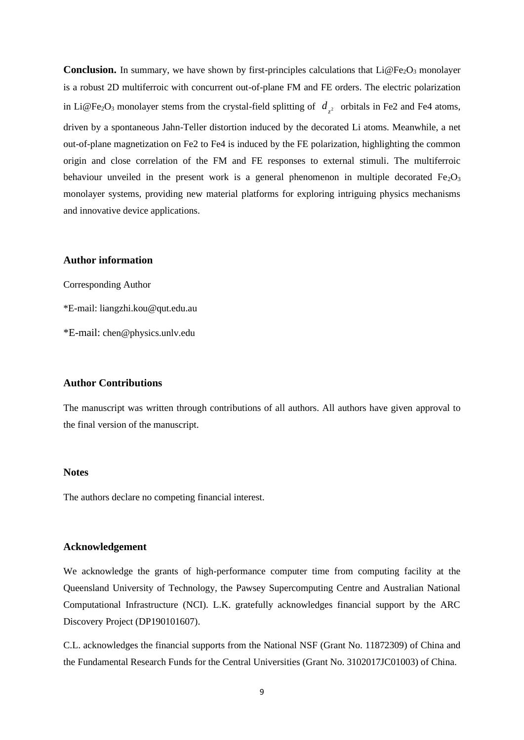**Conclusion.** In summary, we have shown by first-principles calculations that  $Li@Fe<sub>2</sub>O<sub>3</sub>$  monolayer is a robust 2D multiferroic with concurrent out-of-plane FM and FE orders. The electric polarization in Li@Fe<sub>2</sub>O<sub>3</sub> monolayer stems from the crystal-field splitting of  $d_{z^2}$  orbitals in Fe2 and Fe4 atoms, driven by a spontaneous Jahn-Teller distortion induced by the decorated Li atoms. Meanwhile, a net out-of-plane magnetization on Fe2 to Fe4 is induced by the FE polarization, highlighting the common origin and close correlation of the FM and FE responses to external stimuli. The multiferroic behaviour unveiled in the present work is a general phenomenon in multiple decorated  $Fe<sub>2</sub>O<sub>3</sub>$ monolayer systems, providing new material platforms for exploring intriguing physics mechanisms and innovative device applications.

## **Author information**

Corresponding Author \*E-mail: liangzhi.kou@qut.edu.au \*E-mail: chen@physics.unlv.edu

# **Author Contributions**

The manuscript was written through contributions of all authors. All authors have given approval to the final version of the manuscript.

#### **Notes**

The authors declare no competing financial interest.

# **Acknowledgement**

We acknowledge the grants of high-performance computer time from computing facility at the Queensland University of Technology, the Pawsey Supercomputing Centre and Australian National Computational Infrastructure (NCI). L.K. gratefully acknowledges financial support by the ARC Discovery Project (DP190101607).

C.L. acknowledges the financial supports from the National NSF (Grant No. 11872309) of China and the Fundamental Research Funds for the Central Universities (Grant No. 3102017JC01003) of China.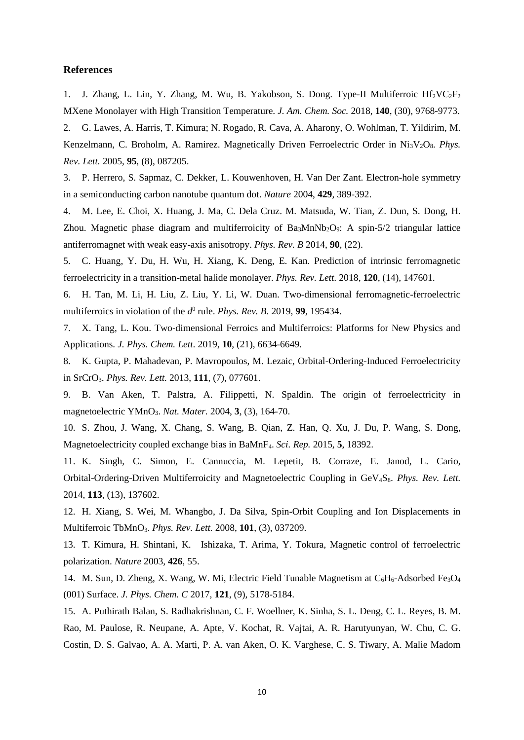### **References**

1. J. Zhang, L. Lin, Y. Zhang, M. Wu, B. Yakobson, S. Dong. Type-II Multiferroic  $Hf_2VC_2F_2$ MXene Monolayer with High Transition Temperature. *J. Am. Chem. Soc.* 2018, **140**, (30), 9768-9773.

2. G. Lawes, A. Harris, T. Kimura; N. Rogado, R. Cava, A. Aharony, O. Wohlman, T. Yildirim, M. Kenzelmann, C. Broholm, A. Ramirez. Magnetically Driven Ferroelectric Order in Ni<sub>3</sub>V<sub>2</sub>O<sub>8</sub>. *Phys. Rev. Lett.* 2005, **95**, (8), 087205.

3. P. Herrero, S. Sapmaz, C. Dekker, L. Kouwenhoven, H. Van Der Zant. Electron-hole symmetry in a semiconducting carbon nanotube quantum dot. *Nature* 2004, **429**, 389-392.

4. M. Lee, E. Choi, X. Huang, J. Ma, C. Dela Cruz. M. Matsuda, W. Tian, Z. Dun, S. Dong, H. Zhou. Magnetic phase diagram and multiferroicity of  $Ba_3MnNb_2O_9$ : A spin-5/2 triangular lattice antiferromagnet with weak easy-axis anisotropy. *Phys. Rev. B* 2014, **90**, (22).

5. C. Huang, Y. Du, H. Wu, H. Xiang, K. Deng, E. Kan. Prediction of intrinsic ferromagnetic ferroelectricity in a transition-metal halide monolayer. *Phys. Rev. Lett.* 2018, **120**, (14), 147601.

6. H. Tan, M. Li, H. Liu, Z. Liu, Y. Li, W. Duan. Two-dimensional ferromagnetic-ferroelectric multiferroics in violation of the *d*<sup>0</sup> rule. *Phys. Rev. B.* 2019, 99, 195434.

7. X. Tang, L. Kou. Two-dimensional Ferroics and Multiferroics: Platforms for New Physics and Applications. *J. Phys. Chem. Lett.* 2019, **10**, (21), 6634-6649.

8. K. Gupta, P. Mahadevan, P. Mavropoulos, M. Lezaic, Orbital-Ordering-Induced Ferroelectricity in SrCrO3. *Phys. Rev. Lett.* 2013, **111**, (7), 077601.

9. B. Van Aken, T. Palstra, A. Filippetti, N. Spaldin. The origin of ferroelectricity in magnetoelectric YMnO3. *Nat. Mater.* 2004, **3**, (3), 164-70.

10. S. Zhou, J. Wang, X. Chang, S. Wang, B. Qian, Z. Han, Q. Xu, J. Du, P. Wang, S. Dong, Magnetoelectricity coupled exchange bias in BaMnF4. *Sci. Rep.* 2015, **5**, 18392.

11. K. Singh, C. Simon, E. Cannuccia, M. Lepetit, B. Corraze, E. Janod, L. Cario, Orbital-Ordering-Driven Multiferroicity and Magnetoelectric Coupling in GeV4S8. *Phys. Rev. Lett.*  2014, **113**, (13), 137602.

12. H. Xiang, S. Wei, M. Whangbo, J. Da Silva, Spin-Orbit Coupling and Ion Displacements in Multiferroic TbMnO3. *Phys. Rev. Lett.* 2008, **101**, (3), 037209.

13. T. Kimura, H. Shintani, K. Ishizaka, T. Arima, Y. Tokura, Magnetic control of ferroelectric polarization. *Nature* 2003, **426**, 55.

14. M. Sun, D. Zheng, X. Wang, W. Mi, Electric Field Tunable Magnetism at  $C_6H_6$ -Adsorbed Fe<sub>3</sub>O<sub>4</sub> (001) Surface. *J. Phys. Chem. C* 2017, **121**, (9), 5178-5184.

15. A. Puthirath Balan, S. Radhakrishnan, C. F. Woellner, K. Sinha, S. L. Deng, C. L. Reyes, B. M. Rao, M. Paulose, R. Neupane, A. Apte, V. Kochat, R. Vajtai, A. R. Harutyunyan, W. Chu, C. G. Costin, D. S. Galvao, A. A. Marti, P. A. van Aken, O. K. Varghese, C. S. Tiwary, A. Malie Madom